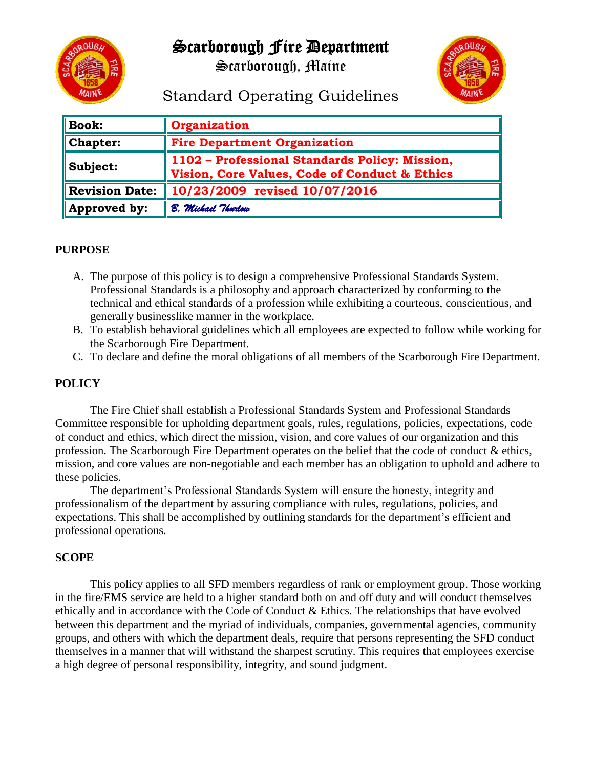

# Scarborough Fire Department

Scarborough, Maine



Standard Operating Guidelines

| <b>Book:</b>          | <b>Organization</b>                                                                             |
|-----------------------|-------------------------------------------------------------------------------------------------|
| <b>Chapter:</b>       | <b>Fire Department Organization</b>                                                             |
| Subject:              | 1102 - Professional Standards Policy: Mission,<br>Vision, Core Values, Code of Conduct & Ethics |
| <b>Revision Date:</b> | 10/23/2009 revised 10/07/2016                                                                   |
| Approved by:          | B. Michael Thurlow                                                                              |

# **PURPOSE**

- A. The purpose of this policy is to design a comprehensive Professional Standards System. Professional Standards is a philosophy and approach characterized by conforming to the technical and ethical standards of a profession while exhibiting a courteous, conscientious, and generally businesslike manner in the workplace.
- B. To establish behavioral guidelines which all employees are expected to follow while working for the Scarborough Fire Department.
- C. To declare and define the moral obligations of all members of the Scarborough Fire Department.

# **POLICY**

The Fire Chief shall establish a Professional Standards System and Professional Standards Committee responsible for upholding department goals, rules, regulations, policies, expectations, code of conduct and ethics, which direct the mission, vision, and core values of our organization and this profession. The Scarborough Fire Department operates on the belief that the code of conduct & ethics, mission, and core values are non-negotiable and each member has an obligation to uphold and adhere to these policies.

The department's Professional Standards System will ensure the honesty, integrity and professionalism of the department by assuring compliance with rules, regulations, policies, and expectations. This shall be accomplished by outlining standards for the department's efficient and professional operations.

# **SCOPE**

This policy applies to all SFD members regardless of rank or employment group. Those working in the fire/EMS service are held to a higher standard both on and off duty and will conduct themselves ethically and in accordance with the Code of Conduct & Ethics. The relationships that have evolved between this department and the myriad of individuals, companies, governmental agencies, community groups, and others with which the department deals, require that persons representing the SFD conduct themselves in a manner that will withstand the sharpest scrutiny. This requires that employees exercise a high degree of personal responsibility, integrity, and sound judgment.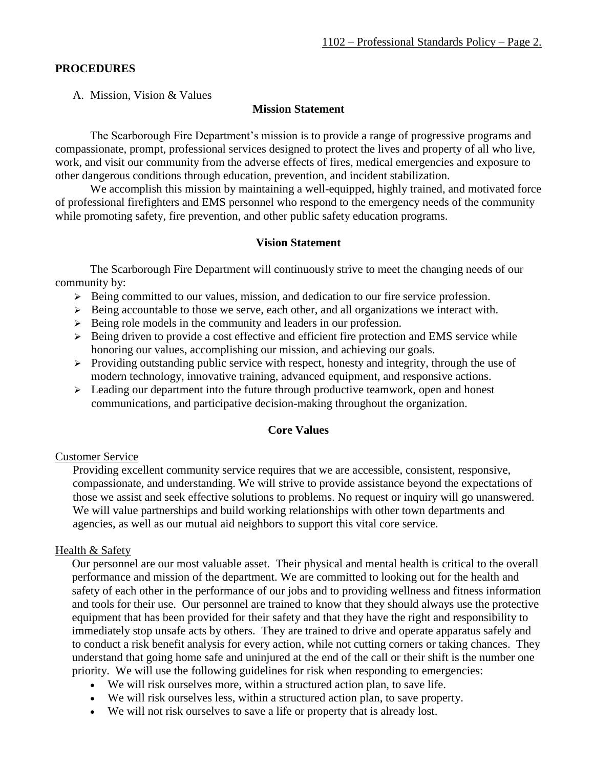#### **PROCEDURES**

A. Mission, Vision & Values

#### **Mission Statement**

The Scarborough Fire Department's mission is to provide a range of progressive programs and compassionate, prompt, professional services designed to protect the lives and property of all who live, work, and visit our community from the adverse effects of fires, medical emergencies and exposure to other dangerous conditions through education, prevention, and incident stabilization.

We accomplish this mission by maintaining a well-equipped, highly trained, and motivated force of professional firefighters and EMS personnel who respond to the emergency needs of the community while promoting safety, fire prevention, and other public safety education programs.

#### **Vision Statement**

The Scarborough Fire Department will continuously strive to meet the changing needs of our community by:

- ➢ Being committed to our values, mission, and dedication to our fire service profession.
- ➢ Being accountable to those we serve, each other, and all organizations we interact with.
- ➢ Being role models in the community and leaders in our profession.
- ➢ Being driven to provide a cost effective and efficient fire protection and EMS service while honoring our values, accomplishing our mission, and achieving our goals.
- $\triangleright$  Providing outstanding public service with respect, honesty and integrity, through the use of modern technology, innovative training, advanced equipment, and responsive actions.
- $\geq$  Leading our department into the future through productive teamwork, open and honest communications, and participative decision-making throughout the organization.

#### **Core Values**

#### Customer Service

Providing excellent community service requires that we are accessible, consistent, responsive, compassionate, and understanding. We will strive to provide assistance beyond the expectations of those we assist and seek effective solutions to problems. No request or inquiry will go unanswered. We will value partnerships and build working relationships with other town departments and agencies, as well as our mutual aid neighbors to support this vital core service.

#### Health & Safety

Our personnel are our most valuable asset. Their physical and mental health is critical to the overall performance and mission of the department. We are committed to looking out for the health and safety of each other in the performance of our jobs and to providing wellness and fitness information and tools for their use. Our personnel are trained to know that they should always use the protective equipment that has been provided for their safety and that they have the right and responsibility to immediately stop unsafe acts by others. They are trained to drive and operate apparatus safely and to conduct a risk benefit analysis for every action, while not cutting corners or taking chances. They understand that going home safe and uninjured at the end of the call or their shift is the number one priority. We will use the following guidelines for risk when responding to emergencies:

- We will risk ourselves more, within a structured action plan, to save life.
- We will risk ourselves less, within a structured action plan, to save property.
- We will not risk ourselves to save a life or property that is already lost.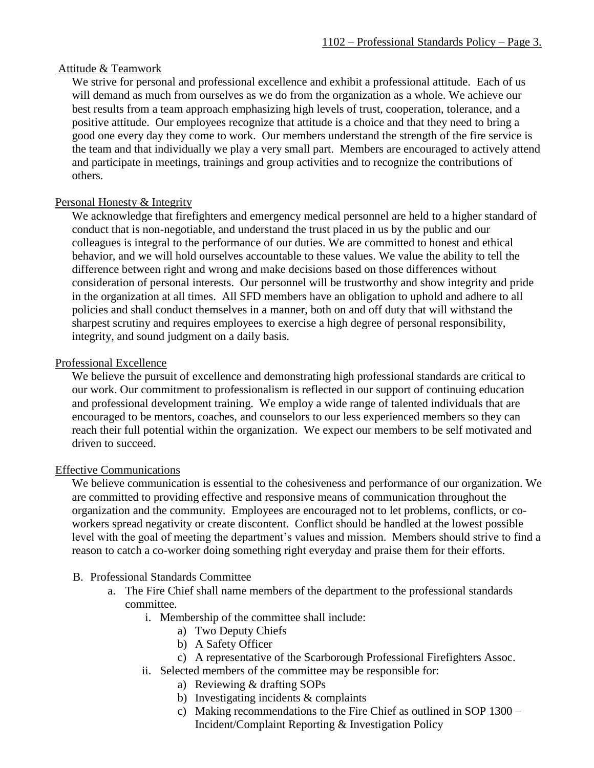#### Attitude & Teamwork

We strive for personal and professional excellence and exhibit a professional attitude. Each of us will demand as much from ourselves as we do from the organization as a whole. We achieve our best results from a team approach emphasizing high levels of trust, cooperation, tolerance, and a positive attitude. Our employees recognize that attitude is a choice and that they need to bring a good one every day they come to work. Our members understand the strength of the fire service is the team and that individually we play a very small part. Members are encouraged to actively attend and participate in meetings, trainings and group activities and to recognize the contributions of others.

# Personal Honesty & Integrity

We acknowledge that firefighters and emergency medical personnel are held to a higher standard of conduct that is non-negotiable, and understand the trust placed in us by the public and our colleagues is integral to the performance of our duties. We are committed to honest and ethical behavior, and we will hold ourselves accountable to these values. We value the ability to tell the difference between right and wrong and make decisions based on those differences without consideration of personal interests. Our personnel will be trustworthy and show integrity and pride in the organization at all times. All SFD members have an obligation to uphold and adhere to all policies and shall conduct themselves in a manner, both on and off duty that will withstand the sharpest scrutiny and requires employees to exercise a high degree of personal responsibility, integrity, and sound judgment on a daily basis.

#### Professional Excellence

We believe the pursuit of excellence and demonstrating high professional standards are critical to our work. Our commitment to professionalism is reflected in our support of continuing education and professional development training. We employ a wide range of talented individuals that are encouraged to be mentors, coaches, and counselors to our less experienced members so they can reach their full potential within the organization. We expect our members to be self motivated and driven to succeed.

#### Effective Communications

We believe communication is essential to the cohesiveness and performance of our organization. We are committed to providing effective and responsive means of communication throughout the organization and the community. Employees are encouraged not to let problems, conflicts, or coworkers spread negativity or create discontent. Conflict should be handled at the lowest possible level with the goal of meeting the department's values and mission. Members should strive to find a reason to catch a co-worker doing something right everyday and praise them for their efforts.

# B. Professional Standards Committee

- a. The Fire Chief shall name members of the department to the professional standards committee.
	- i. Membership of the committee shall include:
		- a) Two Deputy Chiefs
		- b) A Safety Officer
		- c) A representative of the Scarborough Professional Firefighters Assoc.
	- ii. Selected members of the committee may be responsible for:
		- a) Reviewing & drafting SOPs
		- b) Investigating incidents & complaints
		- c) Making recommendations to the Fire Chief as outlined in SOP 1300 Incident/Complaint Reporting & Investigation Policy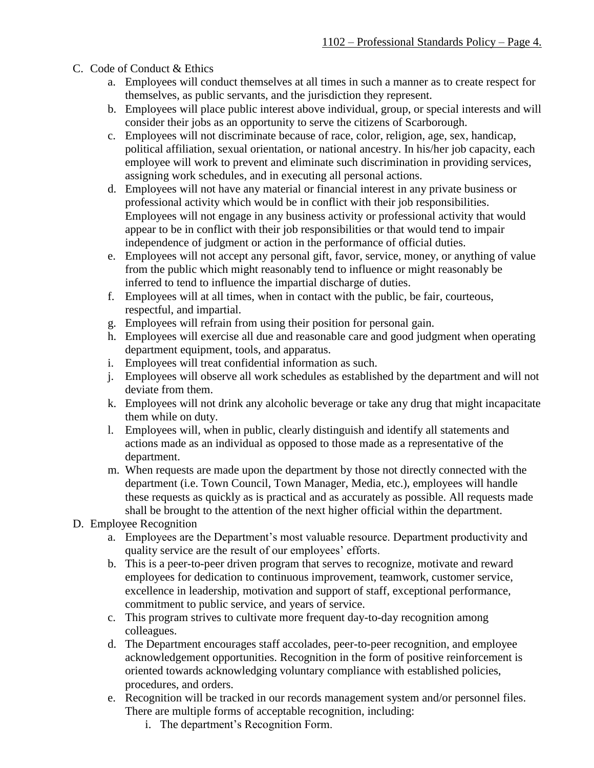# C. Code of Conduct & Ethics

- a. Employees will conduct themselves at all times in such a manner as to create respect for themselves, as public servants, and the jurisdiction they represent.
- b. Employees will place public interest above individual, group, or special interests and will consider their jobs as an opportunity to serve the citizens of Scarborough.
- c. Employees will not discriminate because of race, color, religion, age, sex, handicap, political affiliation, sexual orientation, or national ancestry. In his/her job capacity, each employee will work to prevent and eliminate such discrimination in providing services, assigning work schedules, and in executing all personal actions.
- d. Employees will not have any material or financial interest in any private business or professional activity which would be in conflict with their job responsibilities. Employees will not engage in any business activity or professional activity that would appear to be in conflict with their job responsibilities or that would tend to impair independence of judgment or action in the performance of official duties.
- e. Employees will not accept any personal gift, favor, service, money, or anything of value from the public which might reasonably tend to influence or might reasonably be inferred to tend to influence the impartial discharge of duties.
- f. Employees will at all times, when in contact with the public, be fair, courteous, respectful, and impartial.
- g. Employees will refrain from using their position for personal gain.
- h. Employees will exercise all due and reasonable care and good judgment when operating department equipment, tools, and apparatus.
- i. Employees will treat confidential information as such.
- j. Employees will observe all work schedules as established by the department and will not deviate from them.
- k. Employees will not drink any alcoholic beverage or take any drug that might incapacitate them while on duty.
- l. Employees will, when in public, clearly distinguish and identify all statements and actions made as an individual as opposed to those made as a representative of the department.
- m. When requests are made upon the department by those not directly connected with the department (i.e. Town Council, Town Manager, Media, etc.), employees will handle these requests as quickly as is practical and as accurately as possible. All requests made shall be brought to the attention of the next higher official within the department.
- D. Employee Recognition
	- a. Employees are the Department's most valuable resource. Department productivity and quality service are the result of our employees' efforts.
	- b. This is a peer-to-peer driven program that serves to recognize, motivate and reward employees for dedication to continuous improvement, teamwork, customer service, excellence in leadership, motivation and support of staff, exceptional performance, commitment to public service, and years of service.
	- c. This program strives to cultivate more frequent day-to-day recognition among colleagues.
	- d. The Department encourages staff accolades, peer-to-peer recognition, and employee acknowledgement opportunities. Recognition in the form of positive reinforcement is oriented towards acknowledging voluntary compliance with established policies, procedures, and orders.
	- e. Recognition will be tracked in our records management system and/or personnel files. There are multiple forms of acceptable recognition, including:
		- i. The department's Recognition Form.